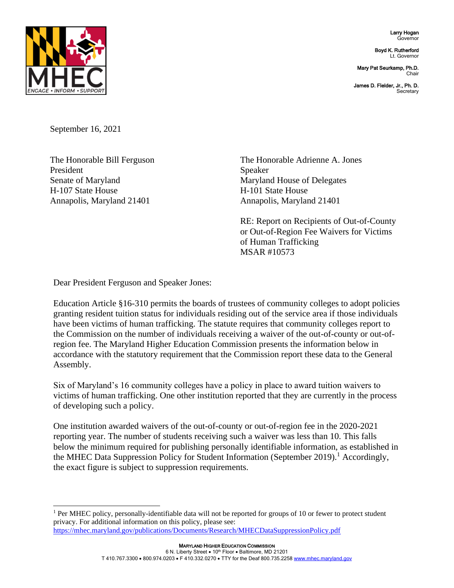Larry Hogan Governor

Boyd K. Rutherford Lt. Governor

Mary Pat Seurkamp, Ph.D. **Chair** 

James D. Fielder, Jr., Ph. D. **Secretary** 



September 16, 2021

President Speaker H-107 State House H-101 State House Annapolis, Maryland 21401 Annapolis, Maryland 21401

The Honorable Bill Ferguson The Honorable Adrienne A. Jones Senate of Maryland Maryland House of Delegates

> RE: Report on Recipients of Out-of-County or Out-of-Region Fee Waivers for Victims of Human Trafficking MSAR #10573

Dear President Ferguson and Speaker Jones:

Education Article §16-310 permits the boards of trustees of community colleges to adopt policies granting resident tuition status for individuals residing out of the service area if those individuals have been victims of human trafficking. The statute requires that community colleges report to the Commission on the number of individuals receiving a waiver of the out-of-county or out-ofregion fee. The Maryland Higher Education Commission presents the information below in accordance with the statutory requirement that the Commission report these data to the General Assembly.

Six of Maryland's 16 community colleges have a policy in place to award tuition waivers to victims of human trafficking. One other institution reported that they are currently in the process of developing such a policy.

One institution awarded waivers of the out-of-county or out-of-region fee in the 2020-2021 reporting year. The number of students receiving such a waiver was less than 10. This falls below the minimum required for publishing personally identifiable information, as established in the MHEC Data Suppression Policy for Student Information (September 2019).<sup>1</sup> Accordingly, the exact figure is subject to suppression requirements.

<sup>&</sup>lt;sup>1</sup> Per MHEC policy, personally-identifiable data will not be reported for groups of 10 or fewer to protect student privacy. For additional information on this policy, please see: <https://mhec.maryland.gov/publications/Documents/Research/MHECDataSuppressionPolicy.pdf>